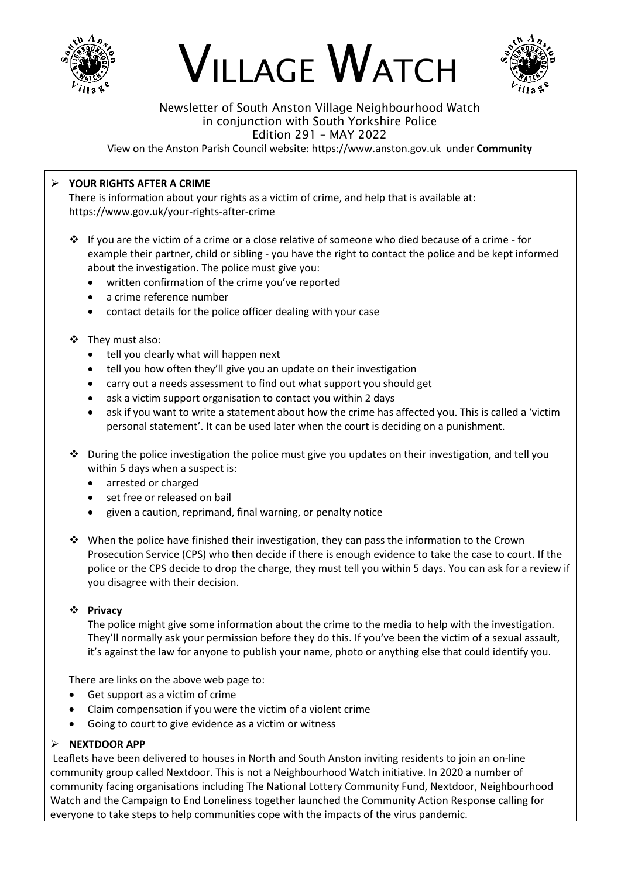





### Newsletter of South Anston Village Neighbourhood Watch in conjunction with South Yorkshire Police Edition 291 – MAY 2022

View on the Anston Parish Council website: https://www.anston.gov.uk under **Community**

# ➢ **YOUR RIGHTS AFTER A CRIME**

There is information about your rights as a victim of crime, and help that is available at: https://www.gov.uk/your-rights-after-crime

- ❖ If you are the victim of a crime or a close relative of someone who died because of a crime for example their partner, child or sibling - you have the right to contact the police and be kept informed about the investigation. The police must give you:
	- written confirmation of the crime you've reported
	- a crime reference number
	- contact details for the police officer dealing with your case

### ❖ They must also:

- tell you clearly what will happen next
- tell you how often they'll give you an update on their investigation
- carry out a needs assessment to find out what support you should get
- ask a victim support organisation to contact you within 2 days
- ask if you want to write a statement about how the crime has affected you. This is called a 'victim personal statement'. It can be used later when the court is deciding on a punishment.
- ❖ During the police investigation the police must give you updates on their investigation, and tell you within 5 days when a suspect is:
	- arrested or charged
	- set free or released on bail
	- given a caution, reprimand, final warning, or penalty notice
- ❖ When the police have finished their investigation, they can pass the information to the Crown Prosecution Service (CPS) who then decide if there is enough evidence to take the case to court. If the police or the CPS decide to drop the charge, they must tell you within 5 days. You can ask for a review if you disagree with their decision.

### ❖ **Privacy**

The police might give some information about the crime to the media to help with the investigation. They'll normally ask your permission before they do this. If you've been the victim of a sexual assault, it's against the law for anyone to publish your name, photo or anything else that could identify you.

There are links on the above web page to:

- Get support as a victim of crime
- Claim compensation if you were the victim of a violent crime
- Going to court to give evidence as a victim or witness

### ➢ **NEXTDOOR APP**

Leaflets have been delivered to houses in North and South Anston inviting residents to join an on-line community group called Nextdoor. This is not a Neighbourhood Watch initiative. In 2020 a number of community facing organisations including The National Lottery Community Fund, Nextdoor, Neighbourhood Watch and the Campaign to End Loneliness together launched the Community Action Response calling for everyone to take steps to help communities cope with the impacts of the virus pandemic.